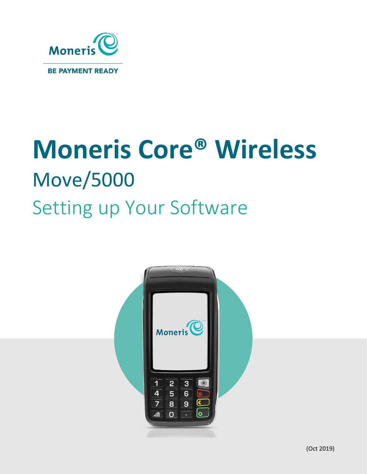

# **Moneris Core® Wireless** Move/5000 Setting up Your Software

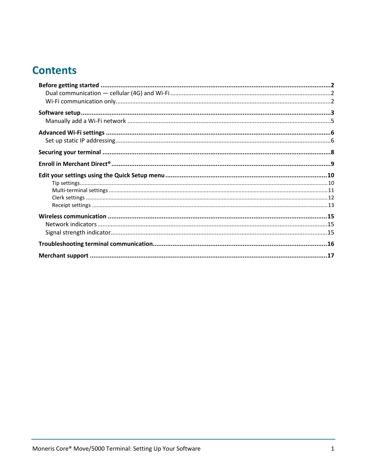# **Contents**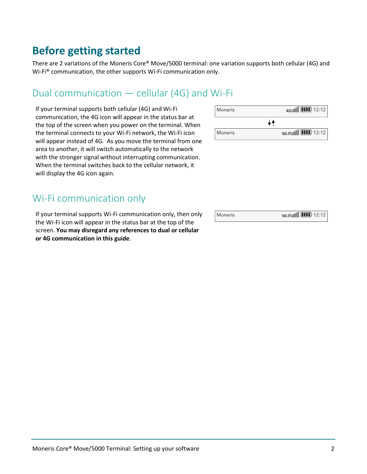## <span id="page-2-0"></span>**Before getting started**

There are 2 variations of the Moneris Core® Move/5000 terminal: one variation supports both cellular (4G) and Wi-Fi® communication, the other supports Wi-Fi communication only.

## <span id="page-2-1"></span>Dual communication — cellular (4G) and Wi-Fi

If your terminal supports both cellular (4G) and Wi-Fi communication, the 4G icon will appear in the status bar at the top of the screen when you power on the terminal. When the terminal connects to your Wi-Fi network, the Wi-Fi icon will appear instead of 4G. As you move the terminal from one area to another, it will switch automatically to the network with the stronger signal without interrupting communication. When the terminal switches back to the cellular network, it will display the 4G icon again.

## <span id="page-2-2"></span>Wi-Fi communication only

If your terminal supports Wi-Fi communication only, then only the Wi-Fi icon will appear in the status bar at the top of the screen. **You may disregard any references to dual or cellular or 4G communication in this guide**.

| Moneris | 4G OU <b>III</b> 12:12 |
|---------|------------------------|
|         |                        |
| Moneris | Wi-Fi 00 [11] 12:12    |

| Moneris | Wi-Fi 00 <b>III</b> 12:12 |
|---------|---------------------------|
|---------|---------------------------|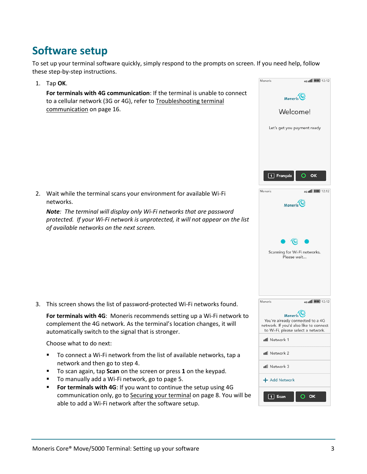# <span id="page-3-0"></span>**Software setup**

To set up your terminal software quickly, simply respond to the prompts on screen. If you need help, follow these step-by-step instructions.

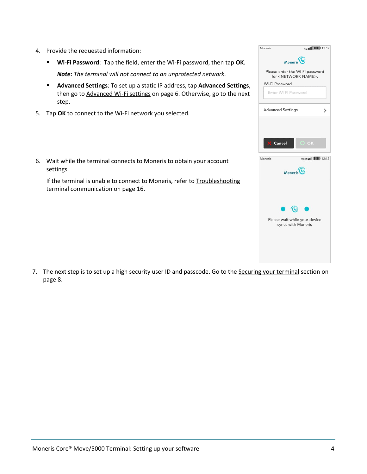- <span id="page-4-0"></span>4. Provide the requested information:
	- **Wi-Fi Password**: Tap the field, enter the Wi-Fi password, then tap **OK**. *Note: The terminal will not connect to an unprotected network.*
	- **Advanced Settings**: To set up a static IP address, tap **Advanced Settings**, then go to [Advanced Wi-Fi settings](#page-6-0) on page [6.](#page-6-0) Otherwise, go to the next step.
- 5. Tap **OK** to connect to the Wi-Fi network you selected.
- 6. Wait while the terminal connects to Moneris to obtain your account settings.

If the terminal is unable to connect to Moneris, refer to Troubleshooting [terminal communication](#page-16-0) on page [16.](#page-16-0)

7. The next step is to set up a high security user ID and passcode. Go to the [Securing your terminal](#page-8-0) section on page [8.](#page-8-0)

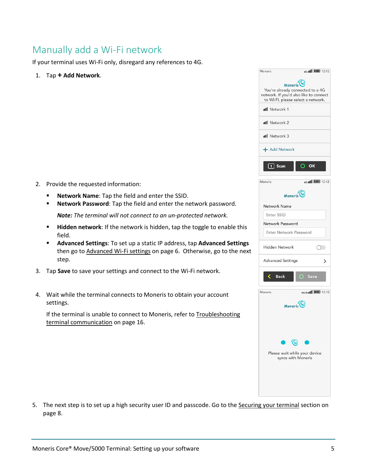## <span id="page-5-0"></span>Manually add a Wi-Fi network

If your terminal uses Wi-Fi only, disregard any references to 4G.

1. Tap **+ Add Network**.

<span id="page-5-1"></span>

- **Network Name:** Tap the field and enter the SSID.
- **Network Password**: Tap the field and enter the network password. *Note: The terminal will not connect to an un-protected network.*
- **Hidden network**: If the network is hidden, tap the toggle to enable this field.
- **Advanced Settings**: To set up a static IP address, tap **Advanced Settings** then go to [Advanced Wi-Fi settings](#page-6-0) on page [6.](#page-6-0) Otherwise, go to the next step.
- 3. Tap **Save** to save your settings and connect to the Wi-Fi network.
- 4. Wait while the terminal connects to Moneris to obtain your account settings.

If the terminal is unable to connect to Moneris, refer to Troubleshooting [terminal communication](#page-16-0) on page [16.](#page-16-0)

| Moneris                                                                    | 4G JIII <b>IIII</b> 12:12 |
|----------------------------------------------------------------------------|---------------------------|
|                                                                            |                           |
| Moneris <sup>(0)</sup>                                                     |                           |
| You're already connected to a 4G<br>network. If you'd also like to connect |                           |
| to Wi-Fi, please select a network.                                         |                           |
| ull Network 1                                                              |                           |
|                                                                            |                           |
| <b>ull</b> Network 2                                                       |                           |
| ull Network 3                                                              |                           |
| + Add Network                                                              |                           |
| $\overline{1}$ Scan                                                        | $O$ ok                    |
|                                                                            |                           |
| Moneris                                                                    | 4G (III) 12:12            |
| Moneris <sup>(0)</sup>                                                     |                           |
| Network Name                                                               |                           |
| Enter SSID                                                                 |                           |
| Network Password                                                           |                           |
|                                                                            |                           |
| Enter Network Password                                                     |                           |
| <b>Hidden Network</b>                                                      |                           |
| <b>Advanced Settings</b>                                                   | ⋋                         |
| <b>Back</b>                                                                | O Save                    |
| Moneris                                                                    |                           |
| Moneris <sup>(O</sup>                                                      |                           |
|                                                                            |                           |
|                                                                            |                           |
|                                                                            |                           |
|                                                                            |                           |
| Please wait while your device                                              |                           |
| syncs with Moneris                                                         |                           |
|                                                                            |                           |
|                                                                            |                           |
|                                                                            |                           |
|                                                                            |                           |
|                                                                            |                           |

5. The next step is to set up a high security user ID and passcode. Go to the [Securing your terminal](#page-8-0) section on page [8.](#page-8-0)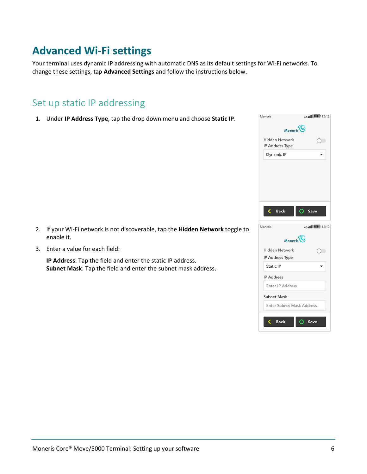# <span id="page-6-0"></span>**Advanced Wi-Fi settings**

Your terminal uses dynamic IP addressing with automatic DNS as its default settings for Wi-Fi networks. To change these settings, tap **Advanced Settings** and follow the instructions below.

## <span id="page-6-1"></span>Set up static IP addressing

1. Under **IP Address Type**, tap the drop down menu and choose **Static IP**.

- 2. If your Wi-Fi network is not discoverable, tap the **Hidden Network** toggle to enable it.
- 3. Enter a value for each field:

**IP Address**: Tap the field and enter the static IP address. **Subnet Mask**: Tap the field and enter the subnet mask address.

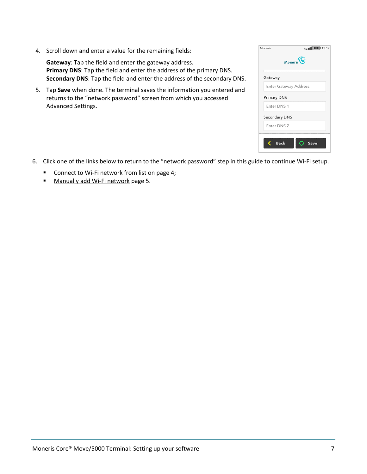|    | 4. Scroll down and enter a value for the remaining fields:                                                                                                                                                       | Moneris<br>4G II                            |
|----|------------------------------------------------------------------------------------------------------------------------------------------------------------------------------------------------------------------|---------------------------------------------|
|    | <b>Gateway:</b> Tap the field and enter the gateway address.<br>Primary DNS: Tap the field and enter the address of the primary DNS.<br>Secondary DNS: Tap the field and enter the address of the secondary DNS. | Moneris <sup>(O</sup><br>Gateway            |
| 5. | Tap Save when done. The terminal saves the information you entered and                                                                                                                                           | Enter Gateway Address<br><b>Primary DNS</b> |
|    | returns to the "network password" screen from which you accessed<br>Advanced Settings.                                                                                                                           | Enter DNS 1                                 |
|    |                                                                                                                                                                                                                  | Secondary DNS                               |
|    |                                                                                                                                                                                                                  | Enter DNS 2                                 |

- 6. Click one of the links below to return to the "network password" step in this guide to continue Wi-Fi setup.
	- Connect to [Wi-Fi network from list](#page-4-0) on page [4;](#page-4-0)
	- [Manually add Wi-Fi network](#page-5-1) page [5.](#page-5-1)

4G (11 | 12:12

 $O$  Save

 $\langle$  Back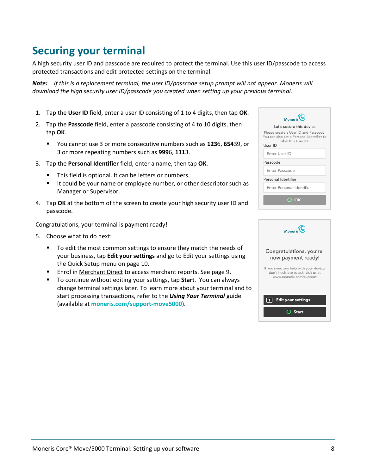# <span id="page-8-0"></span>**Securing your terminal**

A high security user ID and passcode are required to protect the terminal. Use this user ID/passcode to access protected transactions and edit protected settings on the terminal.

*Note: If this is a replacement terminal, the user ID/passcode setup prompt will not appear. Moneris will download the high security user ID/passcode you created when setting up your previous terminal.* 

- 1. Tap the **User ID** field, enter a user ID consisting of 1 to 4 digits, then tap **OK**.
- 2. Tap the **Passcode** field, enter a passcode consisting of 4 to 10 digits, then tap **OK**.
	- You cannot use 3 or more consecutive numbers such as **123**6, **654**39, or 3 or more repeating numbers such as **999**6, **111**3.
- 3. Tap the **Personal Identifier** field, enter a name, then tap **OK**.
	- This field is optional. It can be letters or numbers.
	- It could be your name or employee number, or other descriptor such as Manager or Supervisor.
- 4. Tap **OK** at the bottom of the screen to create your high security user ID and passcode.

Congratulations, your terminal is payment ready!

- 5. Choose what to do next:
	- To edit the most common settings to ensure they match the needs of your business, tap **Edit your settings** and go t[o Edit your settings](#page-10-0) using the Quick Setup menu on page [10.](#page-10-0)
	- **Enrol in [Merchant Direct](#page-9-0) to access merchant reports. See page [9.](#page-9-0)**
	- To continue without editing your settings, tap **Start**. You can always change terminal settings later. To learn more about your terminal and to start processing transactions, refer to the *Using Your Terminal* guide (available at **[moneris.com/support-move5000](http://www.moneris.com/support-move5000)**).

| Moneris <sup>(C)</sup>                                                                                               |  |  |
|----------------------------------------------------------------------------------------------------------------------|--|--|
| Let's secure this device                                                                                             |  |  |
| Please create a User ID and Passcode.<br>You can also set a Personal Identifier to<br>label this User ID.<br>User ID |  |  |
| Enter User ID                                                                                                        |  |  |
| Passcode                                                                                                             |  |  |
| Enter Passcode                                                                                                       |  |  |
| Personal Identifier                                                                                                  |  |  |
| Enter Personal Identifier                                                                                            |  |  |
| $\odot$ K                                                                                                            |  |  |

| $M$ <sub>Moneris</sub> <sup>(<math>\odot</math></sup>                                                    |
|----------------------------------------------------------------------------------------------------------|
| Congratulations, you're<br>now payment ready!                                                            |
| If you need any help with your device,<br>don't hesistate to ask, visit us at<br>www.moneris.com/support |
| <b>Edit your settings</b>                                                                                |
| Start                                                                                                    |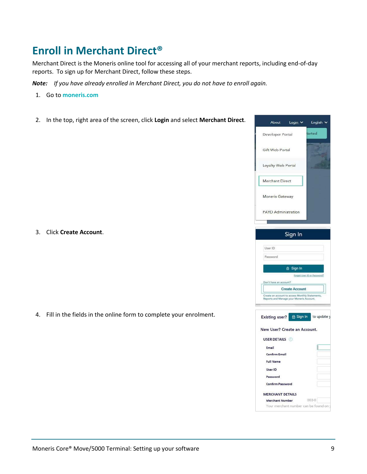# <span id="page-9-0"></span>**Enroll in Merchant Direct®**

Merchant Direct is the Moneris online tool for accessing all of your merchant reports, including end-of-day reports. To sign up for Merchant Direct, follow these steps.

*Note: If you have already enrolled in Merchant Direct, you do not have to enroll again.* 

- 1. Go to **[moneris.com](https://www.moneris.com/)**
- 2. In the top, right area of the screen, click **Login** and select **Merchant Direct**.



4. Fill in the fields in the online form to complete your enrolment.

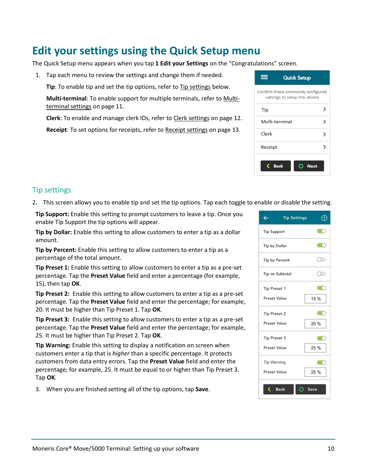# <span id="page-10-0"></span>**Edit your settings using the Quick Setup menu**

The Quick Setup menu appears when you tap **1 Edit your Settings** on the "Congratulations" screen.

1. Tap each menu to review the settings and change them if needed.

**Tip**: To enable tip and set the tip options, refer to [Tip settings](#page-10-1) below.

**Multi-terminal**: To enable support for multiple terminals, refer t[o Multi](#page-11-0)[terminal settings](#page-11-0) on page [11.](#page-11-0)

**Clerk**: To enable and manage clerk IDs, refer t[o Clerk settings](#page-12-0) on pag[e 12.](#page-11-1)

**Receipt**: To set options for receipts, refer t[o Receipt settings](#page-13-0) on pag[e 13.](#page-13-0)

| <b>Quick Setup</b>                                                 |             |
|--------------------------------------------------------------------|-------------|
| Confirm these commonly configured<br>settings to setup this device |             |
| Tip                                                                |             |
| Multi-terminal                                                     |             |
| Clerk                                                              |             |
| Receipt                                                            |             |
| <b>Back</b>                                                        | <b>Next</b> |

#### <span id="page-10-1"></span>Tip settings

2. This screen allows you to enable tip and set the tip options. Tap each toggle to enable or disable the setting.

**Tip Support:** Enable this setting to prompt customers to leave a tip. Once you enable Tip Support the tip options will appear.

**Tip by Dollar:** Enable this setting to allow customers to enter a tip as a dollar amount.

**Tip by Percent:** Enable this setting to allow customers to enter a tip as a percentage of the total amount.

**Tip Preset 1:** Enable this setting to allow customers to enter a tip as a pre-set percentage. Tap the **Preset Value** field and enter a percentage (for example, 15), then tap **OK**.

**Tip Preset 2:** Enable this setting to allow customers to enter a tip as a pre-set percentage. Tap the **Preset Value** field and enter the percentage; for example, 20. It must be higher than Tip Preset 1. Tap **OK**.

**Tip Preset 3:** Enable this setting to allow customers to enter a tip as a pre-set percentage. Tap the **Preset Value** field and enter the percentage; for example, 25. It must be higher than Tip Preset 2. Tap **OK**.

**Tip Warning:** Enable this setting to display a notification on screen when customers enter a tip that is *higher* than a specific percentage. It protects customers from data entry errors. Tap the **Preset Value** field and enter the percentage; for example, 25. It must be equal to or higher than Tip Preset 3. Tap **OK**.

3. When you are finished setting all of the tip options, tap **Save**.

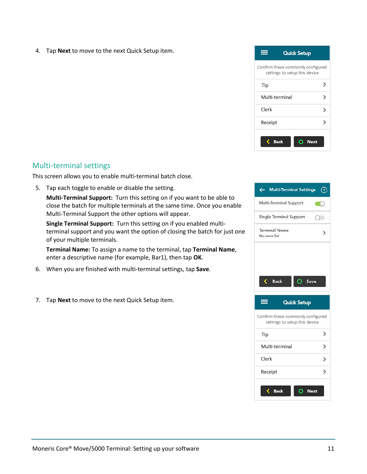4. Tap **Next** to move to the next Quick Setup item.



#### <span id="page-11-0"></span>Multi-terminal settings

This screen allows you to enable multi-terminal batch close.

5. Tap each toggle to enable or disable the setting.

**Multi-Terminal Support:** Turn this setting on if you want to be able to close the batch for multiple terminals at the same time. Once you enable Multi-Terminal Support the other options will appear.

**Single Terminal Support:** Turn this setting on if you enabled multiterminal support and you want the option of closing the batch for just one of your multiple terminals.

**Terminal Name:** To assign a name to the terminal, tap **Terminal Name**, enter a descriptive name (for example, Bar1), then tap **OK**.

- 6. When you are finished with multi-terminal settings, tap **Save**.
- <span id="page-11-1"></span>7. Tap **Next** to move to the next Quick Setup item.



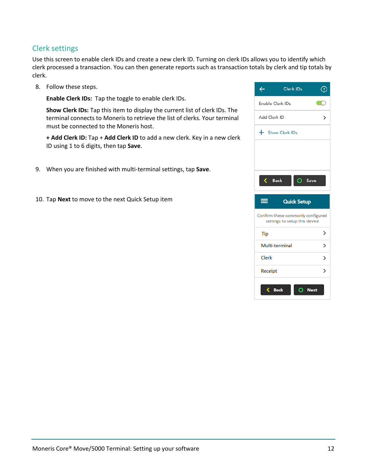#### <span id="page-12-0"></span>Clerk settings

Use this screen to enable clerk IDs and create a new clerk ID. Turning on clerk IDs allows you to identify which clerk processed a transaction. You can then generate reports such as transaction totals by clerk and tip totals by clerk.

8. Follow these steps.

**Enable Clerk IDs:** Tap the toggle to enable clerk IDs.

**Show Clerk IDs:** Tap this item to display the current list of clerk IDs. The terminal connects to Moneris to retrieve the list of clerks. Your terminal must be connected to the Moneris host.

**+ Add Clerk ID:** Tap + **Add Clerk ID** to add a new clerk. Key in a new clerk ID using 1 to 6 digits, then tap **Save**.

- 9. When you are finished with multi-terminal settings, tap **Save**.
- 10. Tap **Next** to move to the next Quick Setup item

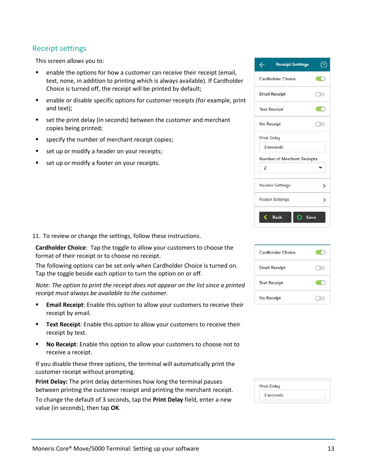#### <span id="page-13-0"></span>Receipt settings

This screen allows you to:

- **E** enable the options for how a customer can receive their receipt (email, text, none, in addition to printing which is always available). If Cardholder Choice is turned off, the receipt will be printed by default;
- enable or disable specific options for customer receipts (for example, print and text);
- set the print delay (in seconds) between the customer and merchant copies being printed;
- **specify the number of merchant receipt copies;**
- set up or modify a header on your receipts;
- set up or modify a footer on your receipts.

11. To review or change the settings, follow these instructions.

**Cardholder Choice**: Tap the toggle to allow your customers to choose the format of their receipt or to choose no receipt.

The following options can be set only when Cardholder Choice is turned on. Tap the toggle beside each option to turn the option on or off.

*Note: The option to print the receipt does not appear on the list since a printed receipt must always be available to the customer.*

- **Email Receipt**: Enable this option to allow your customers to receive their receipt by email.
- **Text Receipt:** Enable this option to allow your customers to receive their receipt by text.
- **No Receipt**: Enable this option to allow your customers to choose not to receive a receipt.

If you disable these three options, the terminal will automatically print the customer receipt without prompting.

**Print Delay:** The print delay determines how long the terminal pauses between printing the customer receipt and printing the merchant receipt.

To change the default of 3 seconds, tap the **Print Delay** field, enter a new value (in seconds), then tap **OK**.

| <b>Receipt Settings</b><br>← |               |
|------------------------------|---------------|
| Cardholder Choice            |               |
| <b>Email Receipt</b>         | ( )           |
| <b>Text Receipt</b>          |               |
| No Receipt                   |               |
| <b>Print Delay</b>           |               |
| 3 seconds                    |               |
| Number of Merchant Receipts  |               |
| 2                            |               |
| <b>Header Settings</b>       | $\rightarrow$ |
| <b>Footer Settings</b>       | ゝ             |
| <b>Back</b><br>Save          |               |

| Cardholder Choice    |  |
|----------------------|--|
| <b>Email Receipt</b> |  |
| <b>Text Receipt</b>  |  |
| No Receipt           |  |

| <b>Print Delay</b> |  |
|--------------------|--|
| 3 seconds          |  |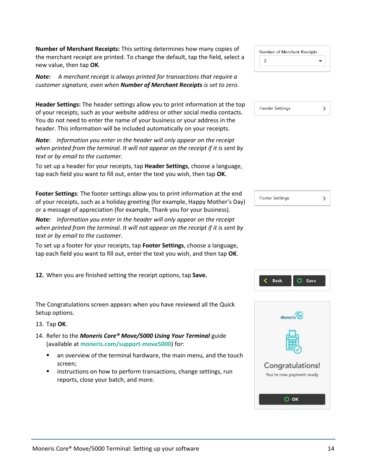**Number of Merchant Receipts:** This setting determines how many copies of the merchant receipt are printed. To change the default, tap the field, select a new value, then tap **OK**.

*Note: A merchant receipt is always printed for transactions that require a customer signature, even when Number of Merchant Receipts is set to zero.*

**Header Settings:** The header settings allow you to print information at the top of your receipts, such as your website address or other social media contacts. You do not need to enter the name of your business or your address in the header. This information will be included automatically on your receipts.

*Note: Information you enter in the header will only appear on the receipt when printed from the terminal. It will not appear on the receipt if it is sent by text or by email to the customer.*

To set up a header for your receipts, tap **Header Settings**, choose a language, tap each field you want to fill out, enter the text you wish, then tap **OK**.

**Footer Settings**: The footer settings allow you to print information at the end of your receipts, such as a holiday greeting (for example, Happy Mother's Day) or a message of appreciation (for example, Thank you for your business).

*Note: Information you enter in the header will only appear on the receipt when printed from the terminal. It will not appear on the receipt if it is sent by text or by email to the customer.*

To set up a footer for your receipts, tap **Footer Settings**, choose a language, tap each field you want to fill out, enter the text you wish, and then tap **OK**.

**12.** When you are finished setting the receipt options, tap **Save.**

The Congratulations screen appears when you have reviewed all the Quick Setup options.

13. Tap **OK**.

- 14. Refer to the *Moneris Core® Move/5000 Using Your Terminal* guide (available at **[moneris.com/support-move5000](http://moneris.com/support-move5000)**) for:
	- an overview of the terminal hardware, the main menu, and the touch screen;
	- instructions on how to perform transactions, change settings, run reports, close your batch, and more.

| Number of Merchant Receipts |  |
|-----------------------------|--|
| 2                           |  |

| <b>Header Settings</b> |  |
|------------------------|--|
|                        |  |

| <b>Footer Settings</b> |  |
|------------------------|--|
|------------------------|--|



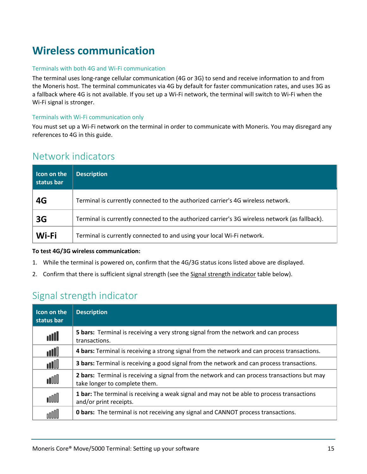# <span id="page-15-0"></span>**Wireless communication**

#### Terminals with both 4G and Wi-Fi communication

The terminal uses long-range cellular communication (4G or 3G) to send and receive information to and from the Moneris host. The terminal communicates via 4G by default for faster communication rates, and uses 3G as a fallback where 4G is not available. If you set up a Wi-Fi network, the terminal will switch to Wi-Fi when the Wi-Fi signal is stronger.

#### Terminals with Wi-Fi communication only

You must set up a Wi-Fi network on the terminal in order to communicate with Moneris. You may disregard any references to 4G in this guide.

### <span id="page-15-1"></span>Network indicators

| I con on the<br>status bar | <b>Description</b>                                                                             |
|----------------------------|------------------------------------------------------------------------------------------------|
| 4G                         | Terminal is currently connected to the authorized carrier's 4G wireless network.               |
| 3G                         | Terminal is currently connected to the authorized carrier's 3G wireless network (as fallback). |
| Wi-Fi                      | Terminal is currently connected to and using your local Wi-Fi network.                         |

#### **To test 4G/3G wireless communication:**

- 1. While the terminal is powered on, confirm that the 4G/3G status icons listed above are displayed.
- <span id="page-15-2"></span>2. Confirm that there is sufficient signal strength (see the [Signal strength indicator](#page-15-2) table below).

## Signal strength indicator

<span id="page-15-3"></span>

| Icon on the<br>status bar | <b>Description</b>                                                                                                            |
|---------------------------|-------------------------------------------------------------------------------------------------------------------------------|
| أأان                      | <b>5 bars:</b> Terminal is receiving a very strong signal from the network and can process<br>transactions.                   |
| أأان                      | 4 bars: Terminal is receiving a strong signal from the network and can process transactions.                                  |
| aN                        | <b>3 bars:</b> Terminal is receiving a good signal from the network and can process transactions.                             |
| ooll                      | 2 bars: Terminal is receiving a signal from the network and can process transactions but may<br>take longer to complete them. |
| nnn                       | 1 bar: The terminal is receiving a weak signal and may not be able to process transactions<br>and/or print receipts.          |
|                           | <b>O bars:</b> The terminal is not receiving any signal and CANNOT process transactions.                                      |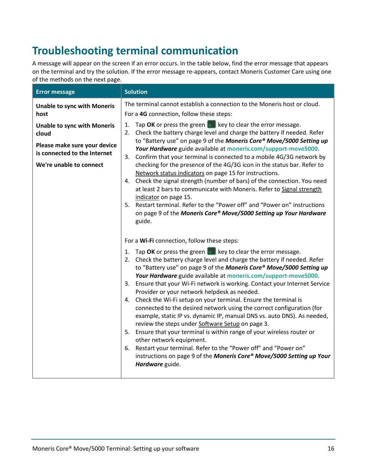# <span id="page-16-0"></span>**Troubleshooting terminal communication**

A message will appear on the screen if an error occurs. In the table below, find the error message that appears on the terminal and try the solution. If the error message re-appears, contact Moneris Customer Care using one of the methods on the next page.

| <b>Error message</b>                                                                                                                   | <b>Solution</b>                                                                                                                                                                                                                                                                                                                                                                                                                                                                                                                                                                                                                                                                                                                                                                                                                                                                                                                                                                                                                              |
|----------------------------------------------------------------------------------------------------------------------------------------|----------------------------------------------------------------------------------------------------------------------------------------------------------------------------------------------------------------------------------------------------------------------------------------------------------------------------------------------------------------------------------------------------------------------------------------------------------------------------------------------------------------------------------------------------------------------------------------------------------------------------------------------------------------------------------------------------------------------------------------------------------------------------------------------------------------------------------------------------------------------------------------------------------------------------------------------------------------------------------------------------------------------------------------------|
| <b>Unable to sync with Moneris</b><br>host                                                                                             | The terminal cannot establish a connection to the Moneris host or cloud.<br>For a 4G connection, follow these steps:                                                                                                                                                                                                                                                                                                                                                                                                                                                                                                                                                                                                                                                                                                                                                                                                                                                                                                                         |
| <b>Unable to sync with Moneris</b><br>cloud<br>Please make sure your device<br>is connected to the Internet<br>We're unable to connect | Tap OK or press the green $\bullet$ key to clear the error message.<br>1.<br>2. Check the battery charge level and charge the battery if needed. Refer<br>to "Battery use" on page 9 of the Moneris Core® Move/5000 Setting up<br>Your Hardware guide available at moneris.com/support-move5000.<br>Confirm that your terminal is connected to a mobile 4G/3G network by<br>3.<br>checking for the presence of the 4G/3G icon in the status bar. Refer to<br>Network status indicators on page 15 for instructions.<br>4. Check the signal strength (number of bars) of the connection. You need<br>at least 2 bars to communicate with Moneris. Refer to Signal strength<br>indicator on page 15.<br>5. Restart terminal. Refer to the "Power off" and "Power on" instructions<br>on page 9 of the Moneris Core® Move/5000 Setting up Your Hardware<br>guide.                                                                                                                                                                               |
|                                                                                                                                        | For a Wi-Fi connection, follow these steps:<br>Tap OK or press the green $\bullet$ key to clear the error message.<br>1.<br>2. Check the battery charge level and charge the battery if needed. Refer<br>to "Battery use" on page 9 of the Moneris Core® Move/5000 Setting up<br>Your Hardware guide available at moneris.com/support-move5000.<br>Ensure that your Wi-Fi network is working. Contact your Internet Service<br>3.<br>Provider or your network helpdesk as needed.<br>Check the Wi-Fi setup on your terminal. Ensure the terminal is<br>4.<br>connected to the desired network using the correct configuration (for<br>example, static IP vs. dynamic IP, manual DNS vs. auto DNS). As needed,<br>review the steps under Software Setup on page 3.<br>5. Ensure that your terminal is within range of your wireless router or<br>other network equipment.<br>Restart your terminal. Refer to the "Power off" and "Power on"<br>6.<br>instructions on page 9 of the Moneris Core® Move/5000 Setting up Your<br>Hardware guide. |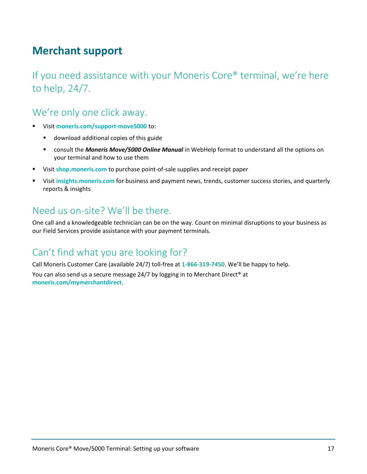# <span id="page-17-0"></span>**Merchant support**

If you need assistance with your Moneris Core® terminal, we're here to help, 24/7.

## We're only one click away.

- Visit **[moneris.com/support-move5000](http://www.moneris.com/support-move5000)** to:
	- download additional copies of this guide
	- consult the *Moneris Move/5000 Online Manual* in WebHelp format to understand all the options on your terminal and how to use them
- Visit **[shop.moneris.com](https://shop.moneris.com/)** to purchase point-of-sale supplies and receipt paper
- Visit **[insights.moneris.com](https://insights.moneris.com/)** for business and payment news, trends, customer success stories, and quarterly reports & insights

## Need us on-site? We'll be there.

One call and a knowledgeable technician can be on the way. Count on minimal disruptions to your business as our Field Services provide assistance with your payment terminals.

## Can't find what you are looking for?

Call Moneris Customer Care (available 24/7) toll-free at **1-866-319-7450**. We'll be happy to help. You can also send us a secure message 24/7 by logging in to Merchant Direct® at **[moneris.com/mymerchantdirect](https://moneris.com/mymerchantdirect)**.